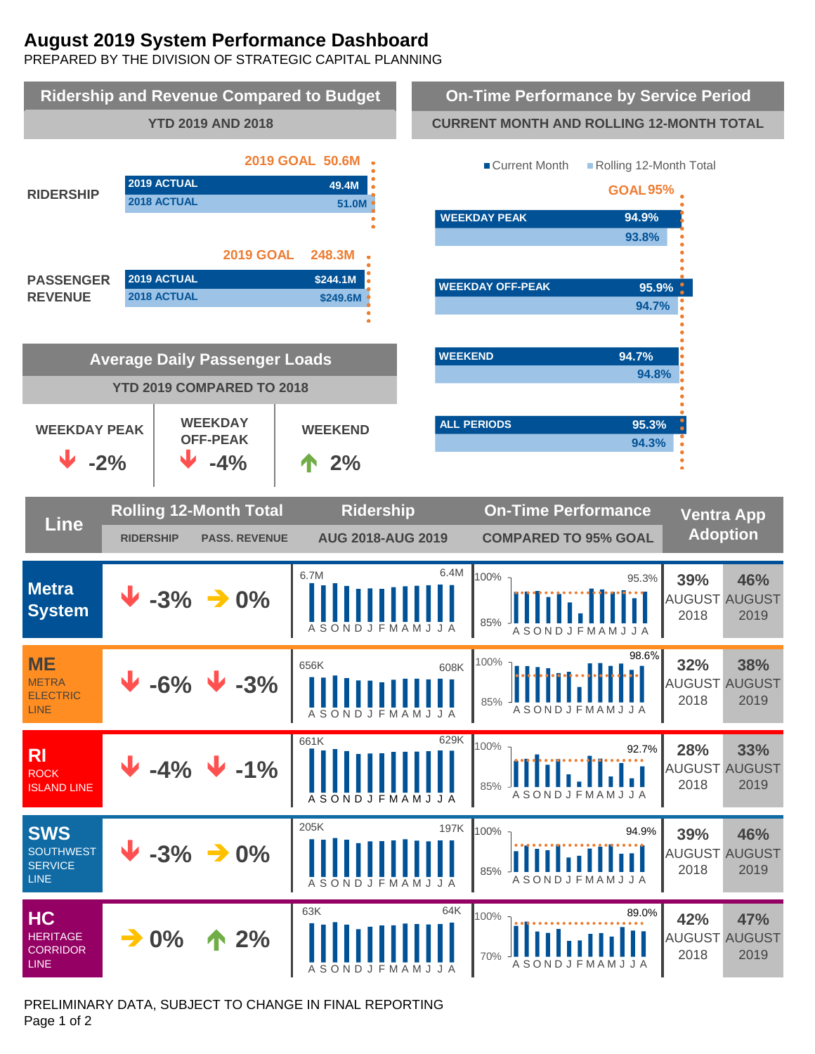# **August 2019 System Performance Dashboard**

PREPARED BY THE DIVISION OF STRATEGIC CAPITAL PLANNING



PRELIMINARY DATA, SUBJECT TO CHANGE IN FINAL REPORTING Page 1 of 2